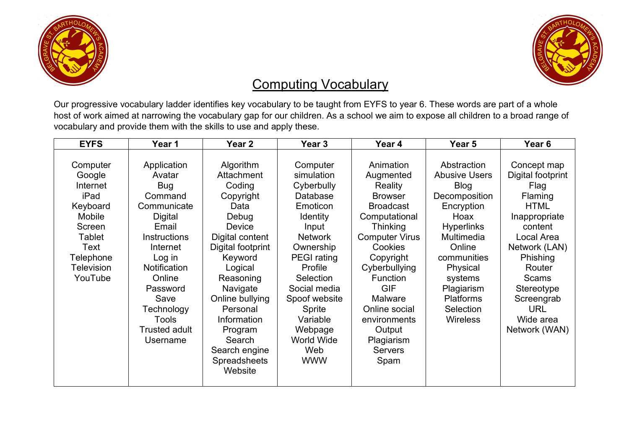



## Computing Vocabulary

Our progressive vocabulary ladder identifies key vocabulary to be taught from EYFS to year 6. These words are part of a whole host of work aimed at narrowing the vocabulary gap for our children. As a school we aim to expose all children to a broad range of vocabulary and provide them with the skills to use and apply these.

| <b>EYFS</b>                                                                                                                           | Year 1                                                                                                                                                                                                                                         | Year <sub>2</sub>                                                                                                                                                                                                                                                                             | Year 3                                                                                                                                                                                                                                                                     | Year 4                                                                                                                                                                                                                                                                                                       | Year 5                                                                                                                                                                                                                                         | Year <sub>6</sub>                                                                                                                                                                                                                                  |
|---------------------------------------------------------------------------------------------------------------------------------------|------------------------------------------------------------------------------------------------------------------------------------------------------------------------------------------------------------------------------------------------|-----------------------------------------------------------------------------------------------------------------------------------------------------------------------------------------------------------------------------------------------------------------------------------------------|----------------------------------------------------------------------------------------------------------------------------------------------------------------------------------------------------------------------------------------------------------------------------|--------------------------------------------------------------------------------------------------------------------------------------------------------------------------------------------------------------------------------------------------------------------------------------------------------------|------------------------------------------------------------------------------------------------------------------------------------------------------------------------------------------------------------------------------------------------|----------------------------------------------------------------------------------------------------------------------------------------------------------------------------------------------------------------------------------------------------|
| Computer<br>Google<br>Internet<br>iPad<br>Keyboard<br>Mobile<br>Screen<br>Tablet<br>Text<br>Telephone<br><b>Television</b><br>YouTube | Application<br>Avatar<br>Bug<br>Command<br>Communicate<br><b>Digital</b><br>Email<br>Instructions<br>Internet<br>Log in<br><b>Notification</b><br>Online<br>Password<br>Save<br>Technology<br><b>Tools</b><br><b>Trusted adult</b><br>Username | Algorithm<br>Attachment<br>Coding<br>Copyright<br>Data<br>Debug<br><b>Device</b><br>Digital content<br>Digital footprint<br>Keyword<br>Logical<br>Reasoning<br>Navigate<br>Online bullying<br>Personal<br>Information<br>Program<br>Search<br>Search engine<br><b>Spreadsheets</b><br>Website | Computer<br>simulation<br>Cyberbully<br>Database<br>Emoticon<br><b>Identity</b><br>Input<br><b>Network</b><br>Ownership<br><b>PEGI</b> rating<br>Profile<br>Selection<br>Social media<br>Spoof website<br>Sprite<br>Variable<br>Webpage<br>World Wide<br>Web<br><b>WWW</b> | Animation<br>Augmented<br>Reality<br><b>Browser</b><br><b>Broadcast</b><br>Computational<br><b>Thinking</b><br><b>Computer Virus</b><br>Cookies<br>Copyright<br>Cyberbullying<br><b>Function</b><br><b>GIF</b><br>Malware<br>Online social<br>environments<br>Output<br>Plagiarism<br><b>Servers</b><br>Spam | Abstraction<br><b>Abusive Users</b><br><b>Blog</b><br>Decomposition<br>Encryption<br>Hoax<br><b>Hyperlinks</b><br>Multimedia<br>Online<br>communities<br>Physical<br>systems<br>Plagiarism<br><b>Platforms</b><br>Selection<br><b>Wireless</b> | Concept map<br>Digital footprint<br>Flag<br><b>Flaming</b><br><b>HTML</b><br>Inappropriate<br>content<br>Local Area<br>Network (LAN)<br>Phishing<br>Router<br><b>Scams</b><br>Stereotype<br>Screengrab<br><b>URL</b><br>Wide area<br>Network (WAN) |
|                                                                                                                                       |                                                                                                                                                                                                                                                |                                                                                                                                                                                                                                                                                               |                                                                                                                                                                                                                                                                            |                                                                                                                                                                                                                                                                                                              |                                                                                                                                                                                                                                                |                                                                                                                                                                                                                                                    |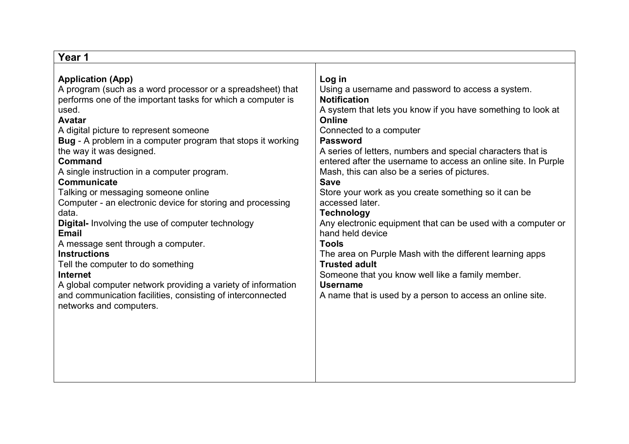| Year 1                                                                                                                                                                                                                                                                                                                                                                                                                                                                                                                                                                                                                                                                                                                                                                                                                                                                       |                                                                                                                                                                                                                                                                                                                                                                                                                                                                                                                                                                                                                                                                                                                                                                                                                                               |
|------------------------------------------------------------------------------------------------------------------------------------------------------------------------------------------------------------------------------------------------------------------------------------------------------------------------------------------------------------------------------------------------------------------------------------------------------------------------------------------------------------------------------------------------------------------------------------------------------------------------------------------------------------------------------------------------------------------------------------------------------------------------------------------------------------------------------------------------------------------------------|-----------------------------------------------------------------------------------------------------------------------------------------------------------------------------------------------------------------------------------------------------------------------------------------------------------------------------------------------------------------------------------------------------------------------------------------------------------------------------------------------------------------------------------------------------------------------------------------------------------------------------------------------------------------------------------------------------------------------------------------------------------------------------------------------------------------------------------------------|
| <b>Application (App)</b><br>A program (such as a word processor or a spreadsheet) that<br>performs one of the important tasks for which a computer is<br>used.<br><b>Avatar</b><br>A digital picture to represent someone<br><b>Bug</b> - A problem in a computer program that stops it working<br>the way it was designed.<br><b>Command</b><br>A single instruction in a computer program.<br>Communicate<br>Talking or messaging someone online<br>Computer - an electronic device for storing and processing<br>data.<br>Digital- Involving the use of computer technology<br><b>Email</b><br>A message sent through a computer.<br><b>Instructions</b><br>Tell the computer to do something<br><b>Internet</b><br>A global computer network providing a variety of information<br>and communication facilities, consisting of interconnected<br>networks and computers. | Log in<br>Using a username and password to access a system.<br><b>Notification</b><br>A system that lets you know if you have something to look at<br><b>Online</b><br>Connected to a computer<br><b>Password</b><br>A series of letters, numbers and special characters that is<br>entered after the username to access an online site. In Purple<br>Mash, this can also be a series of pictures.<br><b>Save</b><br>Store your work as you create something so it can be<br>accessed later.<br><b>Technology</b><br>Any electronic equipment that can be used with a computer or<br>hand held device<br><b>Tools</b><br>The area on Purple Mash with the different learning apps<br><b>Trusted adult</b><br>Someone that you know well like a family member.<br><b>Username</b><br>A name that is used by a person to access an online site. |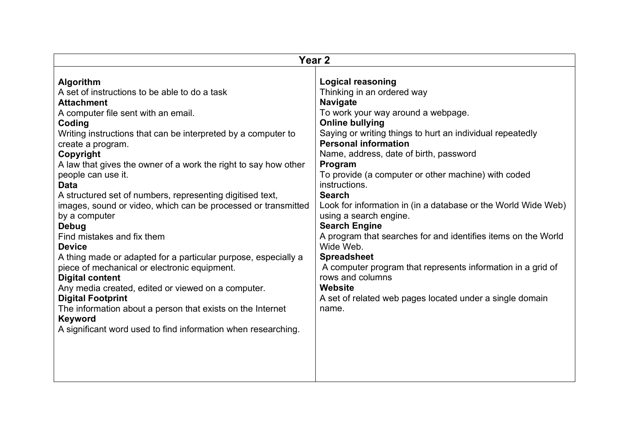| Year <sub>2</sub>                                                                                                                                                                                                                                                                                                                                                                                                                                                                                                                                                                                                                                                                                                                                                                                                                                                                                                                        |                                                                                                                                                                                                                                                                                                                                                                                                                                                                                                                                                                                                                                                                                                                                                                               |  |
|------------------------------------------------------------------------------------------------------------------------------------------------------------------------------------------------------------------------------------------------------------------------------------------------------------------------------------------------------------------------------------------------------------------------------------------------------------------------------------------------------------------------------------------------------------------------------------------------------------------------------------------------------------------------------------------------------------------------------------------------------------------------------------------------------------------------------------------------------------------------------------------------------------------------------------------|-------------------------------------------------------------------------------------------------------------------------------------------------------------------------------------------------------------------------------------------------------------------------------------------------------------------------------------------------------------------------------------------------------------------------------------------------------------------------------------------------------------------------------------------------------------------------------------------------------------------------------------------------------------------------------------------------------------------------------------------------------------------------------|--|
| <b>Algorithm</b><br>A set of instructions to be able to do a task<br><b>Attachment</b><br>A computer file sent with an email.<br>Coding<br>Writing instructions that can be interpreted by a computer to<br>create a program.<br>Copyright<br>A law that gives the owner of a work the right to say how other<br>people can use it.<br><b>Data</b><br>A structured set of numbers, representing digitised text,<br>images, sound or video, which can be processed or transmitted<br>by a computer<br>Debug<br>Find mistakes and fix them<br><b>Device</b><br>A thing made or adapted for a particular purpose, especially a<br>piece of mechanical or electronic equipment.<br><b>Digital content</b><br>Any media created, edited or viewed on a computer.<br><b>Digital Footprint</b><br>The information about a person that exists on the Internet<br><b>Keyword</b><br>A significant word used to find information when researching. | <b>Logical reasoning</b><br>Thinking in an ordered way<br><b>Navigate</b><br>To work your way around a webpage.<br><b>Online bullying</b><br>Saying or writing things to hurt an individual repeatedly<br><b>Personal information</b><br>Name, address, date of birth, password<br>Program<br>To provide (a computer or other machine) with coded<br>instructions.<br><b>Search</b><br>Look for information in (in a database or the World Wide Web)<br>using a search engine.<br><b>Search Engine</b><br>A program that searches for and identifies items on the World<br>Wide Web.<br><b>Spreadsheet</b><br>A computer program that represents information in a grid of<br>rows and columns<br>Website<br>A set of related web pages located under a single domain<br>name. |  |
|                                                                                                                                                                                                                                                                                                                                                                                                                                                                                                                                                                                                                                                                                                                                                                                                                                                                                                                                          |                                                                                                                                                                                                                                                                                                                                                                                                                                                                                                                                                                                                                                                                                                                                                                               |  |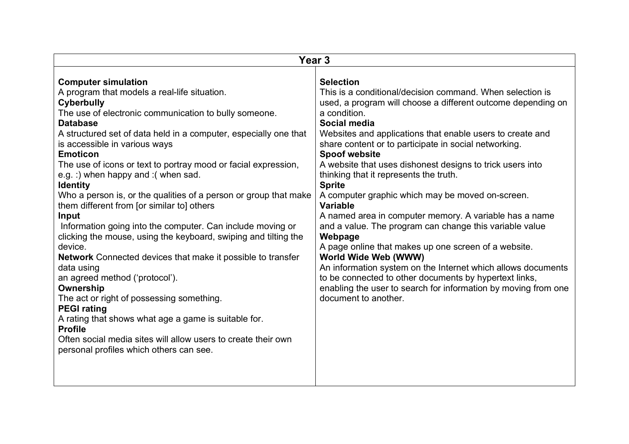| Year <sub>3</sub>                                                                                                                                                                                                                                                                                                                                                                                                                                                                                                                                                                                                                                                                                                                                                                                                                                                                                                                                                                                                                                                                                  |                                                                                                                                                                                                                                                                                                                                                                                                                                                                                                                                                                                                                                                                                                                                                                                                                                                                                                                                                                |  |
|----------------------------------------------------------------------------------------------------------------------------------------------------------------------------------------------------------------------------------------------------------------------------------------------------------------------------------------------------------------------------------------------------------------------------------------------------------------------------------------------------------------------------------------------------------------------------------------------------------------------------------------------------------------------------------------------------------------------------------------------------------------------------------------------------------------------------------------------------------------------------------------------------------------------------------------------------------------------------------------------------------------------------------------------------------------------------------------------------|----------------------------------------------------------------------------------------------------------------------------------------------------------------------------------------------------------------------------------------------------------------------------------------------------------------------------------------------------------------------------------------------------------------------------------------------------------------------------------------------------------------------------------------------------------------------------------------------------------------------------------------------------------------------------------------------------------------------------------------------------------------------------------------------------------------------------------------------------------------------------------------------------------------------------------------------------------------|--|
| <b>Computer simulation</b><br>A program that models a real-life situation.<br><b>Cyberbully</b><br>The use of electronic communication to bully someone.<br><b>Database</b><br>A structured set of data held in a computer, especially one that<br>is accessible in various ways<br><b>Emoticon</b><br>The use of icons or text to portray mood or facial expression,<br>e.g. :) when happy and :( when sad.<br><b>Identity</b><br>Who a person is, or the qualities of a person or group that make<br>them different from [or similar to] others<br>Input<br>Information going into the computer. Can include moving or<br>clicking the mouse, using the keyboard, swiping and tilting the<br>device.<br><b>Network</b> Connected devices that make it possible to transfer<br>data using<br>an agreed method ('protocol').<br>Ownership<br>The act or right of possessing something.<br><b>PEGI rating</b><br>A rating that shows what age a game is suitable for.<br><b>Profile</b><br>Often social media sites will allow users to create their own<br>personal profiles which others can see. | <b>Selection</b><br>This is a conditional/decision command. When selection is<br>used, a program will choose a different outcome depending on<br>a condition.<br>Social media<br>Websites and applications that enable users to create and<br>share content or to participate in social networking.<br><b>Spoof website</b><br>A website that uses dishonest designs to trick users into<br>thinking that it represents the truth.<br><b>Sprite</b><br>A computer graphic which may be moved on-screen.<br><b>Variable</b><br>A named area in computer memory. A variable has a name<br>and a value. The program can change this variable value<br>Webpage<br>A page online that makes up one screen of a website.<br>World Wide Web (WWW)<br>An information system on the Internet which allows documents<br>to be connected to other documents by hypertext links,<br>enabling the user to search for information by moving from one<br>document to another. |  |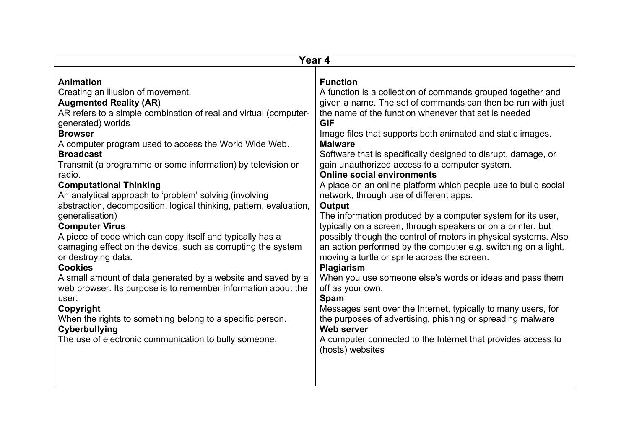| <b>Function</b><br>Creating an illusion of movement.<br>A function is a collection of commands grouped together and<br>given a name. The set of commands can then be run with just<br><b>Augmented Reality (AR)</b><br>the name of the function whenever that set is needed<br><b>GIF</b><br>Image files that supports both animated and static images.<br><b>Malware</b><br>Software that is specifically designed to disrupt, damage, or<br>gain unauthorized access to a computer system.<br><b>Online social environments</b><br>A place on an online platform which people use to build social<br>network, through use of different apps.<br>Output<br>The information produced by a computer system for its user,<br><b>Computer Virus</b><br>typically on a screen, through speakers or on a printer, but<br>possibly though the control of motors in physical systems. Also<br>an action performed by the computer e.g. switching on a light,<br>moving a turtle or sprite across the screen.<br><b>Plagiarism</b><br>When you use someone else's words or ideas and pass them<br>off as your own.<br>Spam<br>Messages sent over the Internet, typically to many users, for<br>the purposes of advertising, phishing or spreading malware<br>When the rights to something belong to a specific person.<br><b>Web server</b><br>A computer connected to the Internet that provides access to | Year 4                                                                                                                                                                                                                                                                                                                                                                                                                                                                                                                                                                                                                                                                                                                                                                                                                                                                       |                  |  |
|-----------------------------------------------------------------------------------------------------------------------------------------------------------------------------------------------------------------------------------------------------------------------------------------------------------------------------------------------------------------------------------------------------------------------------------------------------------------------------------------------------------------------------------------------------------------------------------------------------------------------------------------------------------------------------------------------------------------------------------------------------------------------------------------------------------------------------------------------------------------------------------------------------------------------------------------------------------------------------------------------------------------------------------------------------------------------------------------------------------------------------------------------------------------------------------------------------------------------------------------------------------------------------------------------------------------------------------------------------------------------------------------------------|------------------------------------------------------------------------------------------------------------------------------------------------------------------------------------------------------------------------------------------------------------------------------------------------------------------------------------------------------------------------------------------------------------------------------------------------------------------------------------------------------------------------------------------------------------------------------------------------------------------------------------------------------------------------------------------------------------------------------------------------------------------------------------------------------------------------------------------------------------------------------|------------------|--|
|                                                                                                                                                                                                                                                                                                                                                                                                                                                                                                                                                                                                                                                                                                                                                                                                                                                                                                                                                                                                                                                                                                                                                                                                                                                                                                                                                                                                     | <b>Animation</b><br>AR refers to a simple combination of real and virtual (computer-<br>generated) worlds<br><b>Browser</b><br>A computer program used to access the World Wide Web.<br><b>Broadcast</b><br>Transmit (a programme or some information) by television or<br>radio.<br><b>Computational Thinking</b><br>An analytical approach to 'problem' solving (involving<br>abstraction, decomposition, logical thinking, pattern, evaluation,<br>generalisation)<br>A piece of code which can copy itself and typically has a<br>damaging effect on the device, such as corrupting the system<br>or destroying data.<br><b>Cookies</b><br>A small amount of data generated by a website and saved by a<br>web browser. Its purpose is to remember information about the<br>user.<br>Copyright<br>Cyberbullying<br>The use of electronic communication to bully someone. | (hosts) websites |  |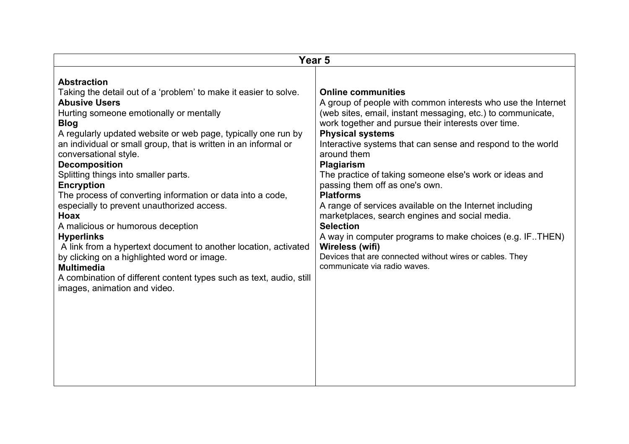| Year 5                                                                                                                                                                                                                                                                                                                                                                                                                                                                                                                                                                                                                                                                                                                                                                                                                                                 |                                                                                                                                                                                                                                                                                                                                                                                                                                                                                                                                                                                                                                                                                                                                                                            |  |
|--------------------------------------------------------------------------------------------------------------------------------------------------------------------------------------------------------------------------------------------------------------------------------------------------------------------------------------------------------------------------------------------------------------------------------------------------------------------------------------------------------------------------------------------------------------------------------------------------------------------------------------------------------------------------------------------------------------------------------------------------------------------------------------------------------------------------------------------------------|----------------------------------------------------------------------------------------------------------------------------------------------------------------------------------------------------------------------------------------------------------------------------------------------------------------------------------------------------------------------------------------------------------------------------------------------------------------------------------------------------------------------------------------------------------------------------------------------------------------------------------------------------------------------------------------------------------------------------------------------------------------------------|--|
| <b>Abstraction</b><br>Taking the detail out of a 'problem' to make it easier to solve.<br><b>Abusive Users</b><br>Hurting someone emotionally or mentally<br><b>Blog</b><br>A regularly updated website or web page, typically one run by<br>an individual or small group, that is written in an informal or<br>conversational style.<br><b>Decomposition</b><br>Splitting things into smaller parts.<br><b>Encryption</b><br>The process of converting information or data into a code,<br>especially to prevent unauthorized access.<br>Hoax<br>A malicious or humorous deception<br><b>Hyperlinks</b><br>A link from a hypertext document to another location, activated<br>by clicking on a highlighted word or image.<br><b>Multimedia</b><br>A combination of different content types such as text, audio, still<br>images, animation and video. | <b>Online communities</b><br>A group of people with common interests who use the Internet<br>(web sites, email, instant messaging, etc.) to communicate,<br>work together and pursue their interests over time.<br><b>Physical systems</b><br>Interactive systems that can sense and respond to the world<br>around them<br><b>Plagiarism</b><br>The practice of taking someone else's work or ideas and<br>passing them off as one's own.<br><b>Platforms</b><br>A range of services available on the Internet including<br>marketplaces, search engines and social media.<br><b>Selection</b><br>A way in computer programs to make choices (e.g. IFTHEN)<br>Wireless (wifi)<br>Devices that are connected without wires or cables. They<br>communicate via radio waves. |  |